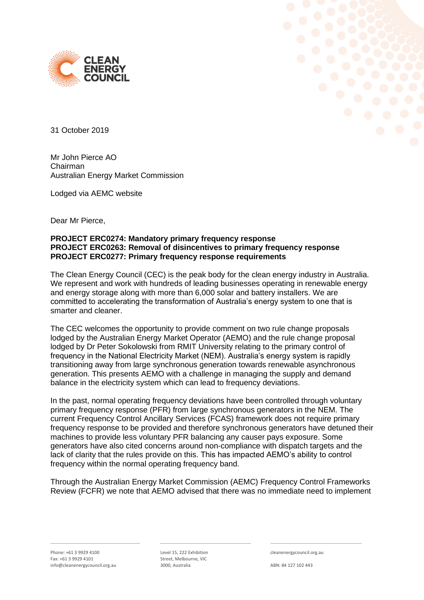



31 October 2019

Mr John Pierce AO Chairman Australian Energy Market Commission

Lodged via AEMC website

Dear Mr Pierce,

## **PROJECT ERC0274: Mandatory primary frequency response PROJECT ERC0263: Removal of disincentives to primary frequency response PROJECT ERC0277: Primary frequency response requirements**

The Clean Energy Council (CEC) is the peak body for the clean energy industry in Australia. We represent and work with hundreds of leading businesses operating in renewable energy and energy storage along with more than 6,000 solar and battery installers. We are committed to accelerating the transformation of Australia's energy system to one that is smarter and cleaner.

The CEC welcomes the opportunity to provide comment on two rule change proposals lodged by the Australian Energy Market Operator (AEMO) and the rule change proposal lodged by Dr Peter Sokolowski from RMIT University relating to the primary control of frequency in the National Electricity Market (NEM). Australia's energy system is rapidly transitioning away from large synchronous generation towards renewable asynchronous generation. This presents AEMO with a challenge in managing the supply and demand balance in the electricity system which can lead to frequency deviations.

In the past, normal operating frequency deviations have been controlled through voluntary primary frequency response (PFR) from large synchronous generators in the NEM. The current Frequency Control Ancillary Services (FCAS) framework does not require primary frequency response to be provided and therefore synchronous generators have detuned their machines to provide less voluntary PFR balancing any causer pays exposure. Some generators have also cited concerns around non-compliance with dispatch targets and the lack of clarity that the rules provide on this. This has impacted AEMO's ability to control frequency within the normal operating frequency band.

Through the Australian Energy Market Commission (AEMC) Frequency Control Frameworks Review (FCFR) we note that AEMO advised that there was no immediate need to implement

Level 15, 222 Exhibition Street, Melbourne, VIC 3000, Australia

cleanenergycouncil.org.au

ABN: 84 127 102 443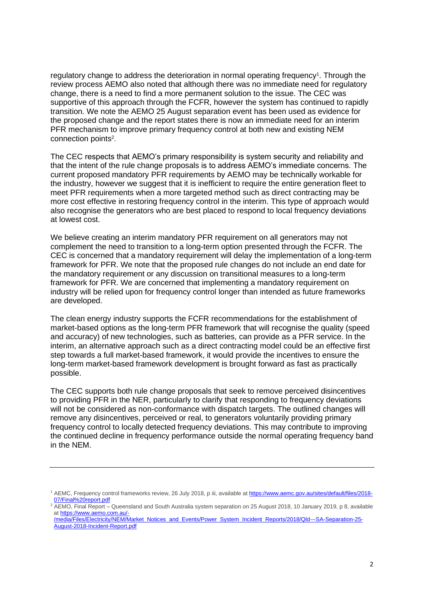regulatory change to address the deterioration in normal operating frequency<sup>1</sup>. Through the review process AEMO also noted that although there was no immediate need for regulatory change, there is a need to find a more permanent solution to the issue. The CEC was supportive of this approach through the FCFR, however the system has continued to rapidly transition. We note the AEMO 25 August separation event has been used as evidence for the proposed change and the report states there is now an immediate need for an interim PFR mechanism to improve primary frequency control at both new and existing NEM connection points<sup>2</sup>.

The CEC respects that AEMO's primary responsibility is system security and reliability and that the intent of the rule change proposals is to address AEMO's immediate concerns. The current proposed mandatory PFR requirements by AEMO may be technically workable for the industry, however we suggest that it is inefficient to require the entire generation fleet to meet PFR requirements when a more targeted method such as direct contracting may be more cost effective in restoring frequency control in the interim. This type of approach would also recognise the generators who are best placed to respond to local frequency deviations at lowest cost.

We believe creating an interim mandatory PFR requirement on all generators may not complement the need to transition to a long-term option presented through the FCFR. The CEC is concerned that a mandatory requirement will delay the implementation of a long-term framework for PFR. We note that the proposed rule changes do not include an end date for the mandatory requirement or any discussion on transitional measures to a long-term framework for PFR. We are concerned that implementing a mandatory requirement on industry will be relied upon for frequency control longer than intended as future frameworks are developed.

The clean energy industry supports the FCFR recommendations for the establishment of market-based options as the long-term PFR framework that will recognise the quality (speed and accuracy) of new technologies, such as batteries, can provide as a PFR service. In the interim, an alternative approach such as a direct contracting model could be an effective first step towards a full market-based framework, it would provide the incentives to ensure the long-term market-based framework development is brought forward as fast as practically possible.

The CEC supports both rule change proposals that seek to remove perceived disincentives to providing PFR in the NER, particularly to clarify that responding to frequency deviations will not be considered as non-conformance with dispatch targets. The outlined changes will remove any disincentives, perceived or real, to generators voluntarily providing primary frequency control to locally detected frequency deviations. This may contribute to improving the continued decline in frequency performance outside the normal operating frequency band in the NEM.

<sup>&</sup>lt;sup>1</sup> AEMC, Frequency control frameworks review, 26 July 2018, p iii, available at [https://www.aemc.gov.au/sites/default/files/2018-](https://www.aemc.gov.au/sites/default/files/2018-07/Final%20report.pdf) [07/Final%20report.pdf](https://www.aemc.gov.au/sites/default/files/2018-07/Final%20report.pdf)

 $2\overline{AEMO}$ , Final Report – Queensland and South Australia system separation on 25 August 2018, 10 January 2019, p 8, available a[t https://www.aemo.com.au/-](https://www.aemo.com.au/-/media/Files/Electricity/NEM/Market_Notices_and_Events/Power_System_Incident_Reports/2018/Qld---SA-Separation-25-August-2018-Incident-Report.pdf) [/media/Files/Electricity/NEM/Market\\_Notices\\_and\\_Events/Power\\_System\\_Incident\\_Reports/2018/Qld---SA-Separation-25-](https://www.aemo.com.au/-/media/Files/Electricity/NEM/Market_Notices_and_Events/Power_System_Incident_Reports/2018/Qld---SA-Separation-25-August-2018-Incident-Report.pdf)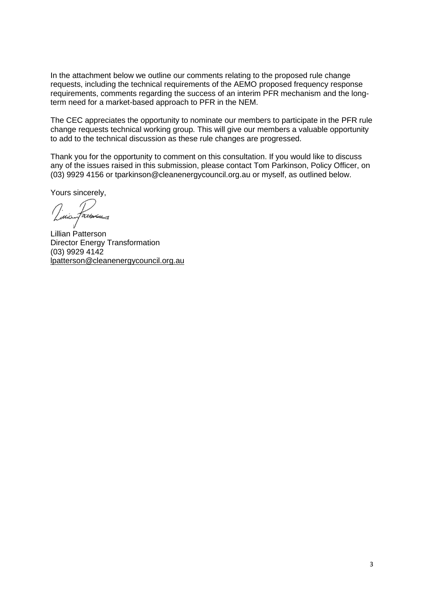In the attachment below we outline our comments relating to the proposed rule change requests, including the technical requirements of the AEMO proposed frequency response requirements, comments regarding the success of an interim PFR mechanism and the longterm need for a market-based approach to PFR in the NEM.

The CEC appreciates the opportunity to nominate our members to participate in the PFR rule change requests technical working group. This will give our members a valuable opportunity to add to the technical discussion as these rule changes are progressed.

Thank you for the opportunity to comment on this consultation. If you would like to discuss any of the issues raised in this submission, please contact Tom Parkinson, Policy Officer, on (03) 9929 4156 or tparkinson@cleanenergycouncil.org.au or myself, as outlined below.

Yours sincerely,

attorn

Lillian Patterson Director Energy Transformation (03) 9929 4142 [lpatterson@cleanenergycouncil.org.au](mailto:lpatterson@cleanenergycouncil.org.au)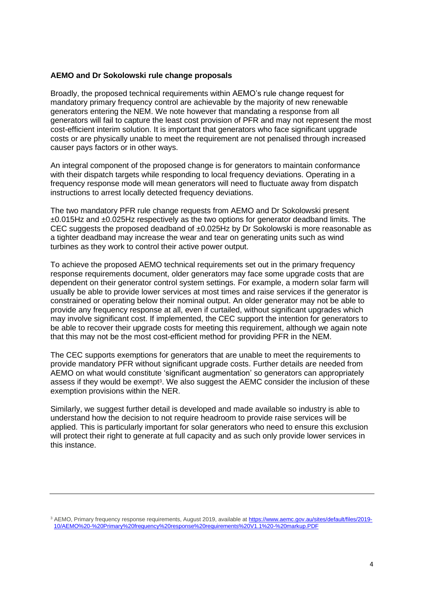## **AEMO and Dr Sokolowski rule change proposals**

Broadly, the proposed technical requirements within AEMO's rule change request for mandatory primary frequency control are achievable by the majority of new renewable generators entering the NEM. We note however that mandating a response from all generators will fail to capture the least cost provision of PFR and may not represent the most cost-efficient interim solution. It is important that generators who face significant upgrade costs or are physically unable to meet the requirement are not penalised through increased causer pays factors or in other ways.

An integral component of the proposed change is for generators to maintain conformance with their dispatch targets while responding to local frequency deviations. Operating in a frequency response mode will mean generators will need to fluctuate away from dispatch instructions to arrest locally detected frequency deviations.

The two mandatory PFR rule change requests from AEMO and Dr Sokolowski present ±0.015Hz and ±0.025Hz respectively as the two options for generator deadband limits. The CEC suggests the proposed deadband of ±0.025Hz by Dr Sokolowski is more reasonable as a tighter deadband may increase the wear and tear on generating units such as wind turbines as they work to control their active power output.

To achieve the proposed AEMO technical requirements set out in the primary frequency response requirements document, older generators may face some upgrade costs that are dependent on their generator control system settings. For example, a modern solar farm will usually be able to provide lower services at most times and raise services if the generator is constrained or operating below their nominal output. An older generator may not be able to provide any frequency response at all, even if curtailed, without significant upgrades which may involve significant cost. If implemented, the CEC support the intention for generators to be able to recover their upgrade costs for meeting this requirement, although we again note that this may not be the most cost-efficient method for providing PFR in the NEM.

The CEC supports exemptions for generators that are unable to meet the requirements to provide mandatory PFR without significant upgrade costs. Further details are needed from AEMO on what would constitute 'significant augmentation' so generators can appropriately assess if they would be exempt<sup>3</sup>. We also suggest the AEMC consider the inclusion of these exemption provisions within the NER.

Similarly, we suggest further detail is developed and made available so industry is able to understand how the decision to not require headroom to provide raise services will be applied. This is particularly important for solar generators who need to ensure this exclusion will protect their right to generate at full capacity and as such only provide lower services in this instance.

<sup>&</sup>lt;sup>3</sup> AEMO, Primary frequency response requirements, August 2019, available a[t https://www.aemc.gov.au/sites/default/files/2019-](https://www.aemc.gov.au/sites/default/files/2019-10/AEMO%20-%20Primary%20frequency%20response%20requirements%20V1.1%20-%20markup.PDF) [10/AEMO%20-%20Primary%20frequency%20response%20requirements%20V1.1%20-%20markup.PDF](https://www.aemc.gov.au/sites/default/files/2019-10/AEMO%20-%20Primary%20frequency%20response%20requirements%20V1.1%20-%20markup.PDF)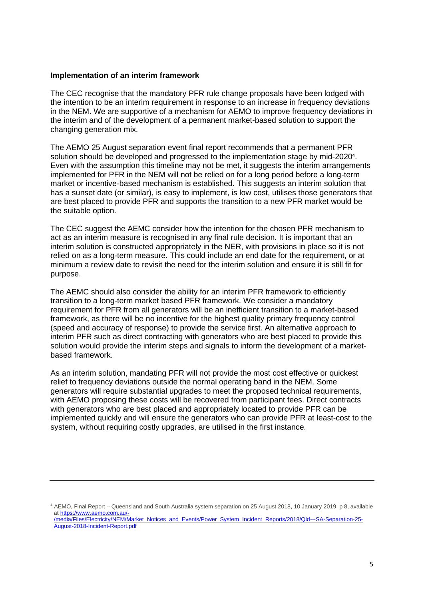## **Implementation of an interim framework**

The CEC recognise that the mandatory PFR rule change proposals have been lodged with the intention to be an interim requirement in response to an increase in frequency deviations in the NEM. We are supportive of a mechanism for AEMO to improve frequency deviations in the interim and of the development of a permanent market-based solution to support the changing generation mix.

The AEMO 25 August separation event final report recommends that a permanent PFR solution should be developed and progressed to the implementation stage by mid-2020<sup>4</sup>. Even with the assumption this timeline may not be met, it suggests the interim arrangements implemented for PFR in the NEM will not be relied on for a long period before a long-term market or incentive-based mechanism is established. This suggests an interim solution that has a sunset date (or similar), is easy to implement, is low cost, utilises those generators that are best placed to provide PFR and supports the transition to a new PFR market would be the suitable option.

The CEC suggest the AEMC consider how the intention for the chosen PFR mechanism to act as an interim measure is recognised in any final rule decision. It is important that an interim solution is constructed appropriately in the NER, with provisions in place so it is not relied on as a long-term measure. This could include an end date for the requirement, or at minimum a review date to revisit the need for the interim solution and ensure it is still fit for purpose.

The AEMC should also consider the ability for an interim PFR framework to efficiently transition to a long-term market based PFR framework. We consider a mandatory requirement for PFR from all generators will be an inefficient transition to a market-based framework, as there will be no incentive for the highest quality primary frequency control (speed and accuracy of response) to provide the service first. An alternative approach to interim PFR such as direct contracting with generators who are best placed to provide this solution would provide the interim steps and signals to inform the development of a marketbased framework.

As an interim solution, mandating PFR will not provide the most cost effective or quickest relief to frequency deviations outside the normal operating band in the NEM. Some generators will require substantial upgrades to meet the proposed technical requirements, with AEMO proposing these costs will be recovered from participant fees. Direct contracts with generators who are best placed and appropriately located to provide PFR can be implemented quickly and will ensure the generators who can provide PFR at least-cost to the system, without requiring costly upgrades, are utilised in the first instance.

<sup>4</sup> AEMO, Final Report – Queensland and South Australia system separation on 25 August 2018, 10 January 2019, p 8, available a[t https://www.aemo.com.au/-](https://www.aemo.com.au/-/media/Files/Electricity/NEM/Market_Notices_and_Events/Power_System_Incident_Reports/2018/Qld---SA-Separation-25-August-2018-Incident-Report.pdf) [/media/Files/Electricity/NEM/Market\\_Notices\\_and\\_Events/Power\\_System\\_Incident\\_Reports/2018/Qld---SA-Separation-25-](https://www.aemo.com.au/-/media/Files/Electricity/NEM/Market_Notices_and_Events/Power_System_Incident_Reports/2018/Qld---SA-Separation-25-August-2018-Incident-Report.pdf) [August-2018-Incident-Report.pdf](https://www.aemo.com.au/-/media/Files/Electricity/NEM/Market_Notices_and_Events/Power_System_Incident_Reports/2018/Qld---SA-Separation-25-August-2018-Incident-Report.pdf)